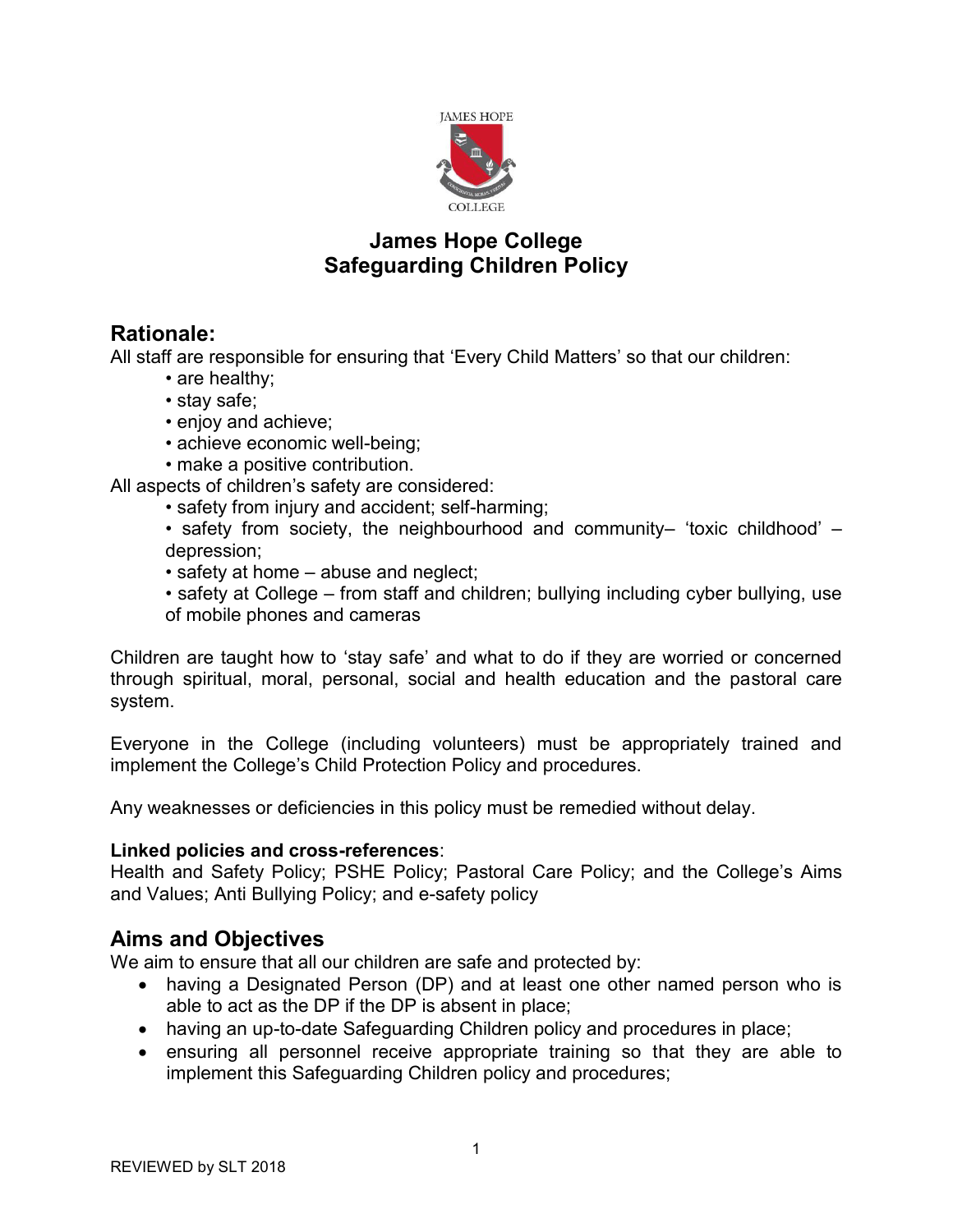

# **James Hope College Safeguarding Children Policy**

# **Rationale:**

All staff are responsible for ensuring that 'Every Child Matters' so that our children:

- are healthy;
- stay safe;
- enjoy and achieve;
- achieve economic well-being;
- make a positive contribution.

All aspects of children's safety are considered:

- safety from injury and accident; self-harming;
- safety from society, the neighbourhood and community- 'toxic childhood' depression;
- safety at home abuse and neglect;
- safety at College from staff and children; bullying including cyber bullying, use of mobile phones and cameras

Children are taught how to 'stay safe' and what to do if they are worried or concerned through spiritual, moral, personal, social and health education and the pastoral care system.

Everyone in the College (including volunteers) must be appropriately trained and implement the College's Child Protection Policy and procedures.

Any weaknesses or deficiencies in this policy must be remedied without delay.

### **Linked policies and cross-references**:

Health and Safety Policy; PSHE Policy; Pastoral Care Policy; and the College's Aims and Values; Anti Bullying Policy; and e-safety policy

# **Aims and Objectives**

We aim to ensure that all our children are safe and protected by:

- having a Designated Person (DP) and at least one other named person who is able to act as the DP if the DP is absent in place;
- having an up-to-date Safeguarding Children policy and procedures in place;
- ensuring all personnel receive appropriate training so that they are able to implement this Safeguarding Children policy and procedures;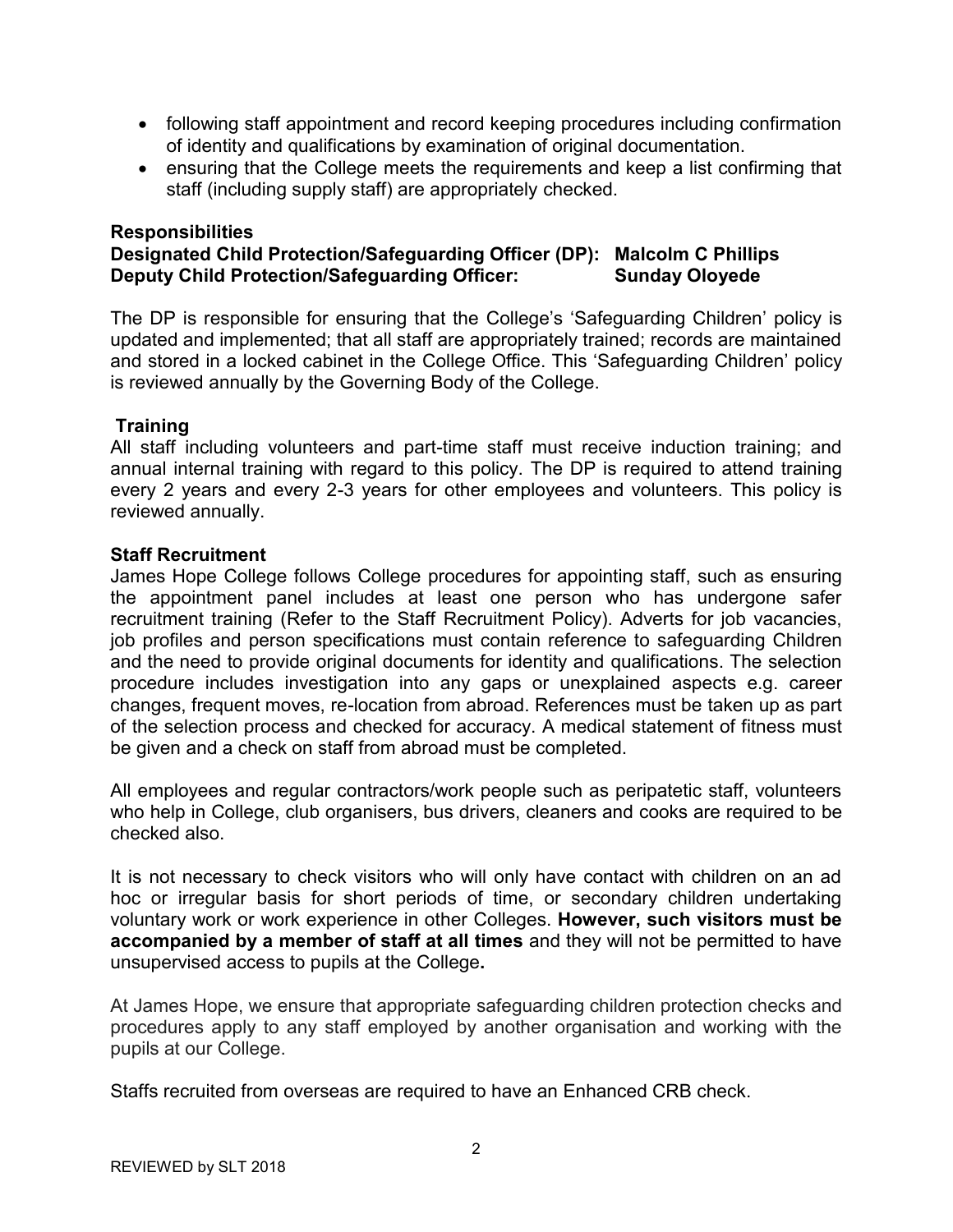- following staff appointment and record keeping procedures including confirmation of identity and qualifications by examination of original documentation.
- ensuring that the College meets the requirements and keep a list confirming that staff (including supply staff) are appropriately checked.

### **Responsibilities**

# **Designated Child Protection/Safeguarding Officer (DP): Malcolm C Phillips Deputy Child Protection/Safeguarding Officer: Sunday Oloyede**

The DP is responsible for ensuring that the College's 'Safeguarding Children' policy is updated and implemented; that all staff are appropriately trained; records are maintained and stored in a locked cabinet in the College Office. This 'Safeguarding Children' policy is reviewed annually by the Governing Body of the College.

### **Training**

All staff including volunteers and part-time staff must receive induction training; and annual internal training with regard to this policy. The DP is required to attend training every 2 years and every 2-3 years for other employees and volunteers. This policy is reviewed annually.

### **Staff Recruitment**

James Hope College follows College procedures for appointing staff, such as ensuring the appointment panel includes at least one person who has undergone safer recruitment training (Refer to the Staff Recruitment Policy). Adverts for job vacancies, job profiles and person specifications must contain reference to safeguarding Children and the need to provide original documents for identity and qualifications. The selection procedure includes investigation into any gaps or unexplained aspects e.g. career changes, frequent moves, re-location from abroad. References must be taken up as part of the selection process and checked for accuracy. A medical statement of fitness must be given and a check on staff from abroad must be completed.

All employees and regular contractors/work people such as peripatetic staff, volunteers who help in College, club organisers, bus drivers, cleaners and cooks are required to be checked also.

It is not necessary to check visitors who will only have contact with children on an ad hoc or irregular basis for short periods of time, or secondary children undertaking voluntary work or work experience in other Colleges. **However, such visitors must be accompanied by a member of staff at all times** and they will not be permitted to have unsupervised access to pupils at the College**.** 

At James Hope, we ensure that appropriate safeguarding children protection checks and procedures apply to any staff employed by another organisation and working with the pupils at our College.

Staffs recruited from overseas are required to have an Enhanced CRB check.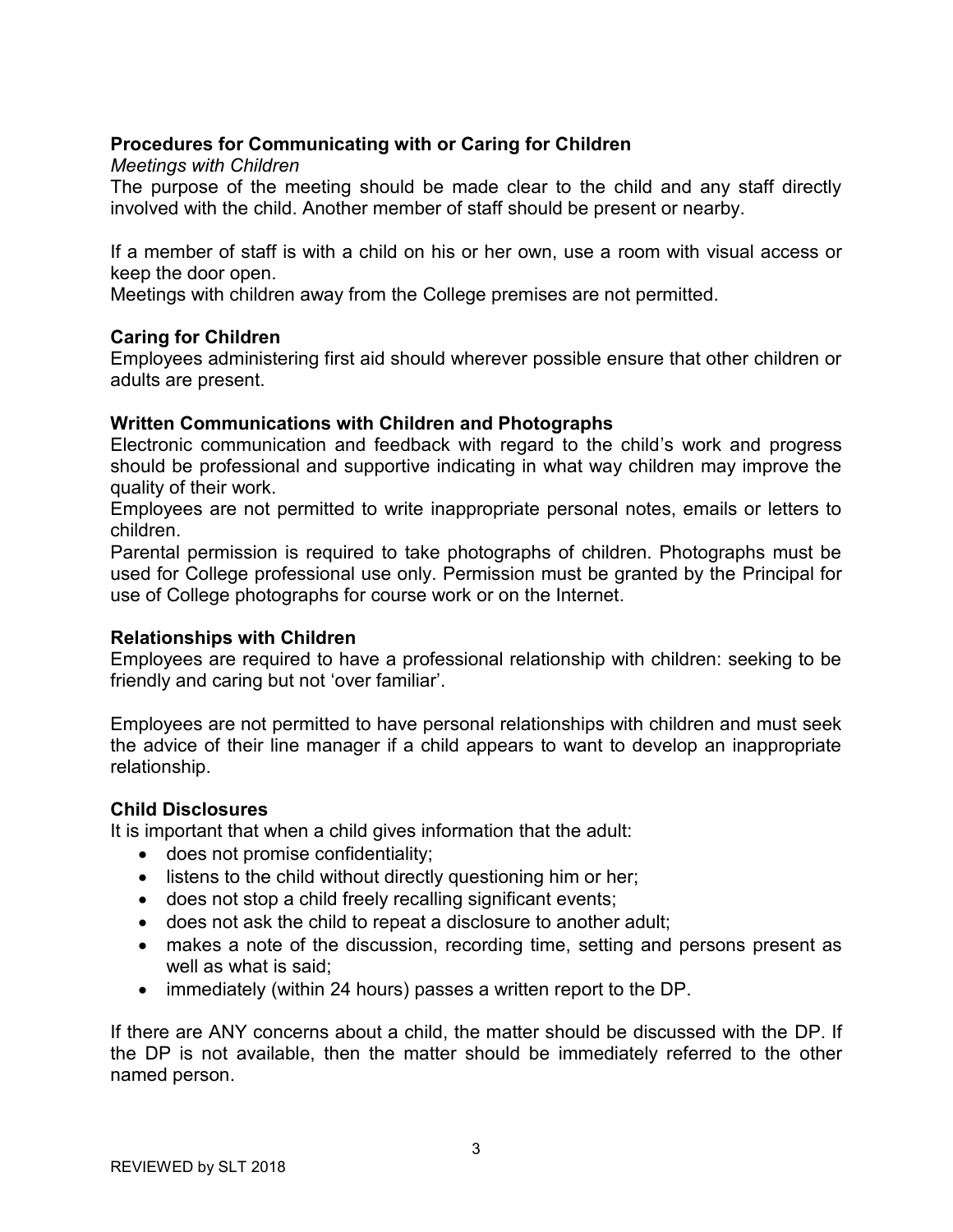# **Procedures for Communicating with or Caring for Children**

*Meetings with Children* 

The purpose of the meeting should be made clear to the child and any staff directly involved with the child. Another member of staff should be present or nearby.

If a member of staff is with a child on his or her own, use a room with visual access or keep the door open.

Meetings with children away from the College premises are not permitted.

### **Caring for Children**

Employees administering first aid should wherever possible ensure that other children or adults are present.

### **Written Communications with Children and Photographs**

Electronic communication and feedback with regard to the child's work and progress should be professional and supportive indicating in what way children may improve the quality of their work.

Employees are not permitted to write inappropriate personal notes, emails or letters to children.

Parental permission is required to take photographs of children. Photographs must be used for College professional use only. Permission must be granted by the Principal for use of College photographs for course work or on the Internet.

### **Relationships with Children**

Employees are required to have a professional relationship with children: seeking to be friendly and caring but not 'over familiar'.

Employees are not permitted to have personal relationships with children and must seek the advice of their line manager if a child appears to want to develop an inappropriate relationship.

### **Child Disclosures**

It is important that when a child gives information that the adult:

- does not promise confidentiality;
- listens to the child without directly questioning him or her;
- does not stop a child freely recalling significant events;
- does not ask the child to repeat a disclosure to another adult;
- makes a note of the discussion, recording time, setting and persons present as well as what is said;
- immediately (within 24 hours) passes a written report to the DP.

If there are ANY concerns about a child, the matter should be discussed with the DP. If the DP is not available, then the matter should be immediately referred to the other named person.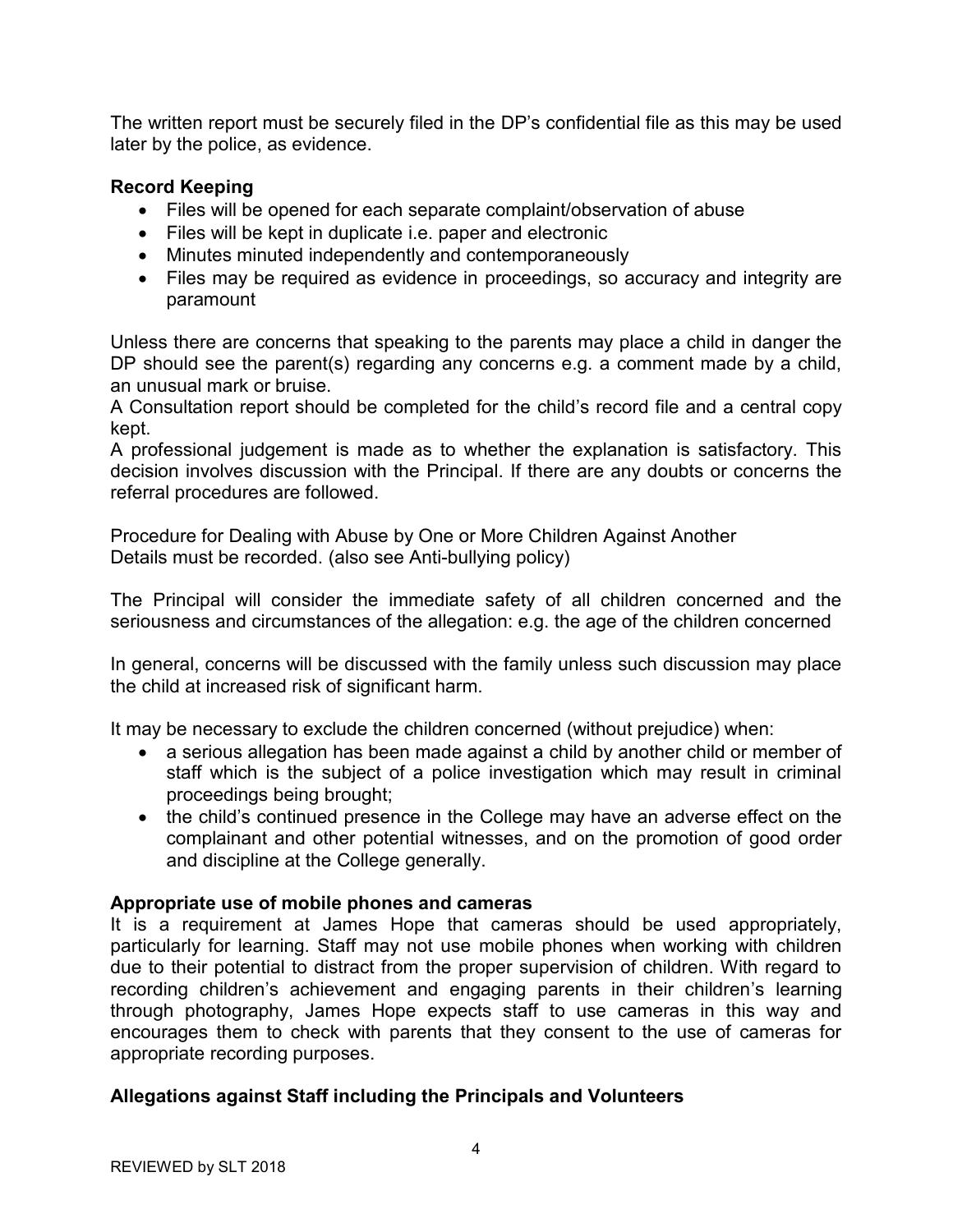The written report must be securely filed in the DP's confidential file as this may be used later by the police, as evidence.

# **Record Keeping**

- Files will be opened for each separate complaint/observation of abuse
- Files will be kept in duplicate i.e. paper and electronic
- Minutes minuted independently and contemporaneously
- Files may be required as evidence in proceedings, so accuracy and integrity are paramount

Unless there are concerns that speaking to the parents may place a child in danger the DP should see the parent(s) regarding any concerns e.g. a comment made by a child, an unusual mark or bruise.

A Consultation report should be completed for the child's record file and a central copy kept.

A professional judgement is made as to whether the explanation is satisfactory. This decision involves discussion with the Principal. If there are any doubts or concerns the referral procedures are followed.

Procedure for Dealing with Abuse by One or More Children Against Another Details must be recorded. (also see Anti-bullying policy)

The Principal will consider the immediate safety of all children concerned and the seriousness and circumstances of the allegation: e.g. the age of the children concerned

In general, concerns will be discussed with the family unless such discussion may place the child at increased risk of significant harm.

It may be necessary to exclude the children concerned (without prejudice) when:

- a serious allegation has been made against a child by another child or member of staff which is the subject of a police investigation which may result in criminal proceedings being brought;
- the child's continued presence in the College may have an adverse effect on the complainant and other potential witnesses, and on the promotion of good order and discipline at the College generally.

### **Appropriate use of mobile phones and cameras**

It is a requirement at James Hope that cameras should be used appropriately, particularly for learning. Staff may not use mobile phones when working with children due to their potential to distract from the proper supervision of children. With regard to recording children's achievement and engaging parents in their children's learning through photography, James Hope expects staff to use cameras in this way and encourages them to check with parents that they consent to the use of cameras for appropriate recording purposes.

# **Allegations against Staff including the Principals and Volunteers**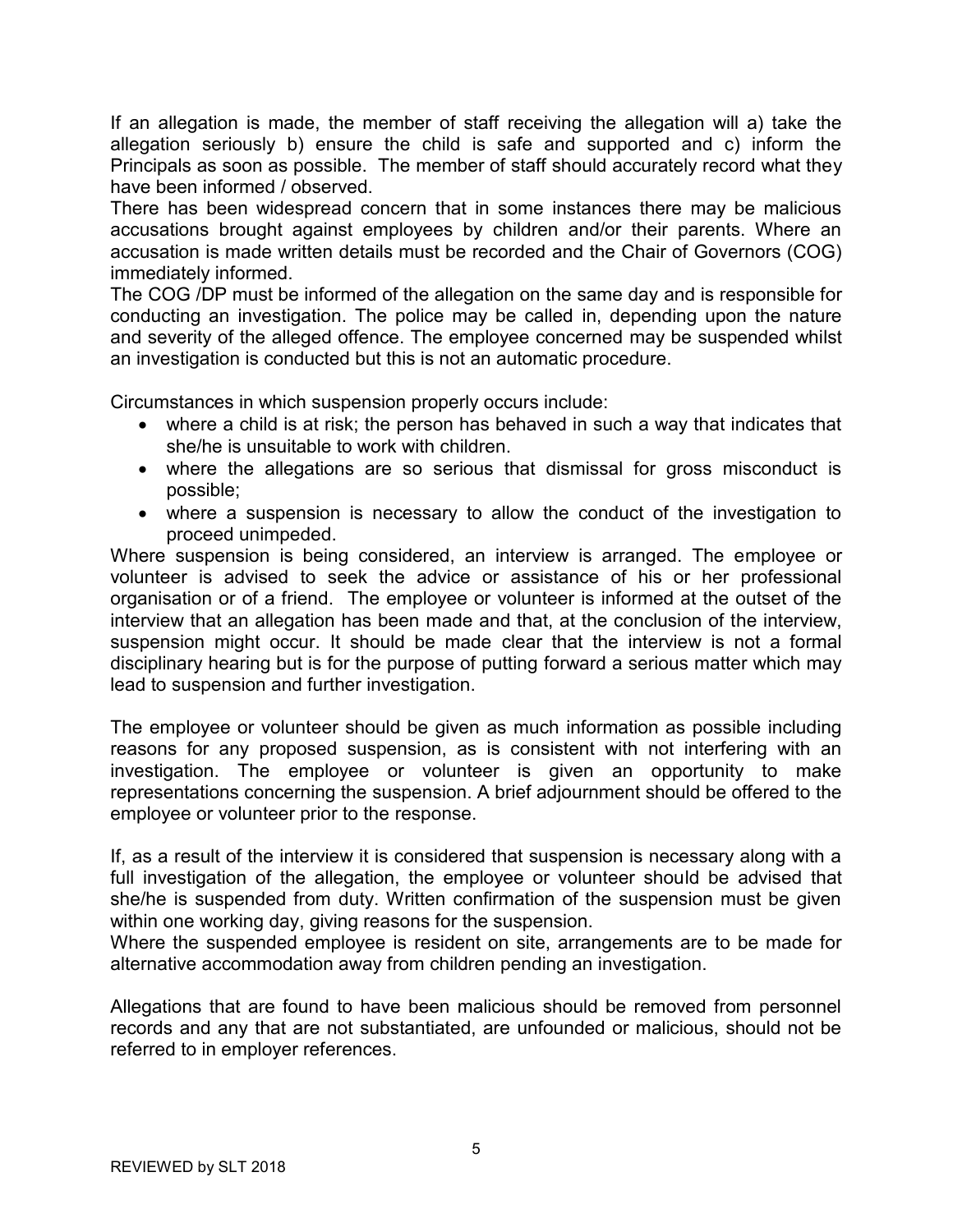If an allegation is made, the member of staff receiving the allegation will a) take the allegation seriously b) ensure the child is safe and supported and c) inform the Principals as soon as possible. The member of staff should accurately record what they have been informed / observed.

There has been widespread concern that in some instances there may be malicious accusations brought against employees by children and/or their parents. Where an accusation is made written details must be recorded and the Chair of Governors (COG) immediately informed.

The COG /DP must be informed of the allegation on the same day and is responsible for conducting an investigation. The police may be called in, depending upon the nature and severity of the alleged offence. The employee concerned may be suspended whilst an investigation is conducted but this is not an automatic procedure.

Circumstances in which suspension properly occurs include:

- where a child is at risk; the person has behaved in such a way that indicates that she/he is unsuitable to work with children.
- where the allegations are so serious that dismissal for gross misconduct is possible;
- where a suspension is necessary to allow the conduct of the investigation to proceed unimpeded.

Where suspension is being considered, an interview is arranged. The employee or volunteer is advised to seek the advice or assistance of his or her professional organisation or of a friend. The employee or volunteer is informed at the outset of the interview that an allegation has been made and that, at the conclusion of the interview, suspension might occur. It should be made clear that the interview is not a formal disciplinary hearing but is for the purpose of putting forward a serious matter which may lead to suspension and further investigation.

The employee or volunteer should be given as much information as possible including reasons for any proposed suspension, as is consistent with not interfering with an investigation. The employee or volunteer is given an opportunity to make representations concerning the suspension. A brief adjournment should be offered to the employee or volunteer prior to the response.

If, as a result of the interview it is considered that suspension is necessary along with a full investigation of the allegation, the employee or volunteer should be advised that she/he is suspended from duty. Written confirmation of the suspension must be given within one working day, giving reasons for the suspension.

Where the suspended employee is resident on site, arrangements are to be made for alternative accommodation away from children pending an investigation.

Allegations that are found to have been malicious should be removed from personnel records and any that are not substantiated, are unfounded or malicious, should not be referred to in employer references.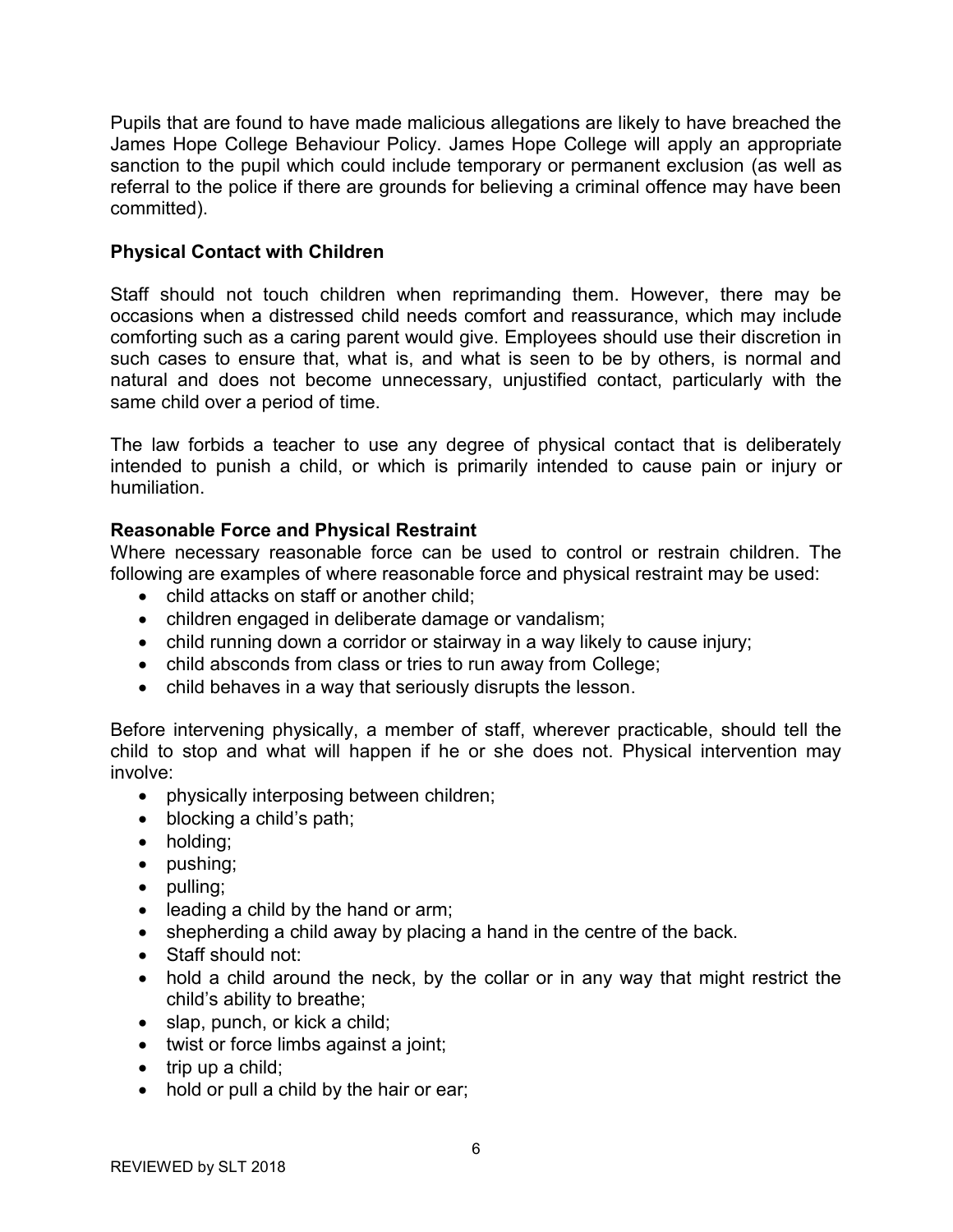Pupils that are found to have made malicious allegations are likely to have breached the James Hope College Behaviour Policy. James Hope College will apply an appropriate sanction to the pupil which could include temporary or permanent exclusion (as well as referral to the police if there are grounds for believing a criminal offence may have been committed).

# **Physical Contact with Children**

Staff should not touch children when reprimanding them. However, there may be occasions when a distressed child needs comfort and reassurance, which may include comforting such as a caring parent would give. Employees should use their discretion in such cases to ensure that, what is, and what is seen to be by others, is normal and natural and does not become unnecessary, unjustified contact, particularly with the same child over a period of time.

The law forbids a teacher to use any degree of physical contact that is deliberately intended to punish a child, or which is primarily intended to cause pain or injury or humiliation.

### **Reasonable Force and Physical Restraint**

Where necessary reasonable force can be used to control or restrain children. The following are examples of where reasonable force and physical restraint may be used:

- child attacks on staff or another child;
- children engaged in deliberate damage or vandalism;
- child running down a corridor or stairway in a way likely to cause injury;
- child absconds from class or tries to run away from College;
- child behaves in a way that seriously disrupts the lesson.

Before intervening physically, a member of staff, wherever practicable, should tell the child to stop and what will happen if he or she does not. Physical intervention may involve:

- physically interposing between children;
- blocking a child's path;
- holding;
- pushing;
- pulling;
- $\bullet$  leading a child by the hand or arm;
- shepherding a child away by placing a hand in the centre of the back.
- Staff should not:
- hold a child around the neck, by the collar or in any way that might restrict the child's ability to breathe;
- slap, punch, or kick a child;
- twist or force limbs against a joint;
- $\bullet$  trip up a child;
- hold or pull a child by the hair or ear;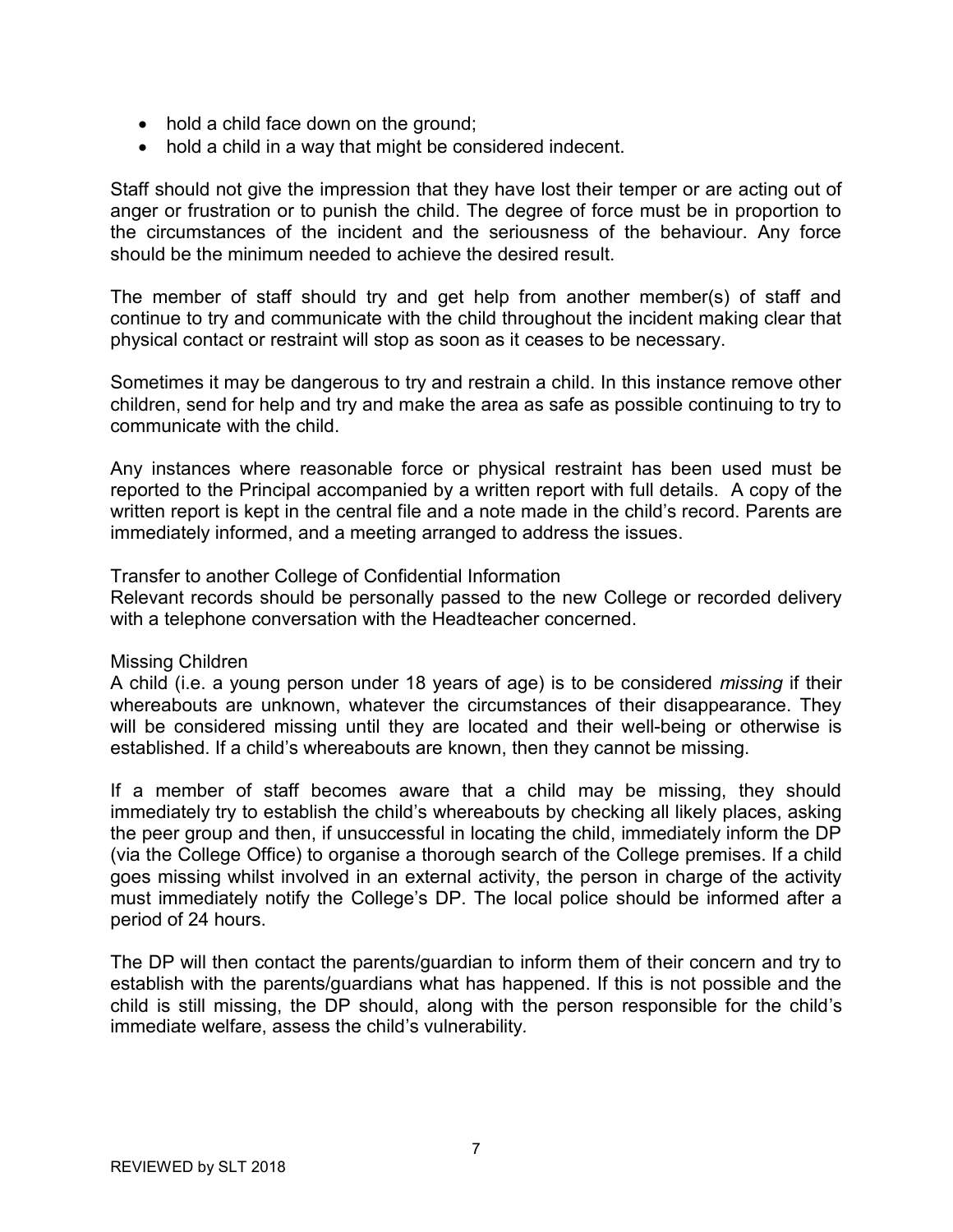- hold a child face down on the ground;
- hold a child in a way that might be considered indecent.

Staff should not give the impression that they have lost their temper or are acting out of anger or frustration or to punish the child. The degree of force must be in proportion to the circumstances of the incident and the seriousness of the behaviour. Any force should be the minimum needed to achieve the desired result.

The member of staff should try and get help from another member(s) of staff and continue to try and communicate with the child throughout the incident making clear that physical contact or restraint will stop as soon as it ceases to be necessary.

Sometimes it may be dangerous to try and restrain a child. In this instance remove other children, send for help and try and make the area as safe as possible continuing to try to communicate with the child.

Any instances where reasonable force or physical restraint has been used must be reported to the Principal accompanied by a written report with full details. A copy of the written report is kept in the central file and a note made in the child's record. Parents are immediately informed, and a meeting arranged to address the issues.

#### Transfer to another College of Confidential Information

Relevant records should be personally passed to the new College or recorded delivery with a telephone conversation with the Headteacher concerned.

#### Missing Children

A child (i.e. a young person under 18 years of age) is to be considered *missing* if their whereabouts are unknown, whatever the circumstances of their disappearance. They will be considered missing until they are located and their well-being or otherwise is established. If a child's whereabouts are known, then they cannot be missing.

If a member of staff becomes aware that a child may be missing, they should immediately try to establish the child's whereabouts by checking all likely places, asking the peer group and then, if unsuccessful in locating the child, immediately inform the DP (via the College Office) to organise a thorough search of the College premises. If a child goes missing whilst involved in an external activity, the person in charge of the activity must immediately notify the College's DP. The local police should be informed after a period of 24 hours.

The DP will then contact the parents/guardian to inform them of their concern and try to establish with the parents/guardians what has happened. If this is not possible and the child is still missing, the DP should, along with the person responsible for the child's immediate welfare, assess the child's vulnerability*.*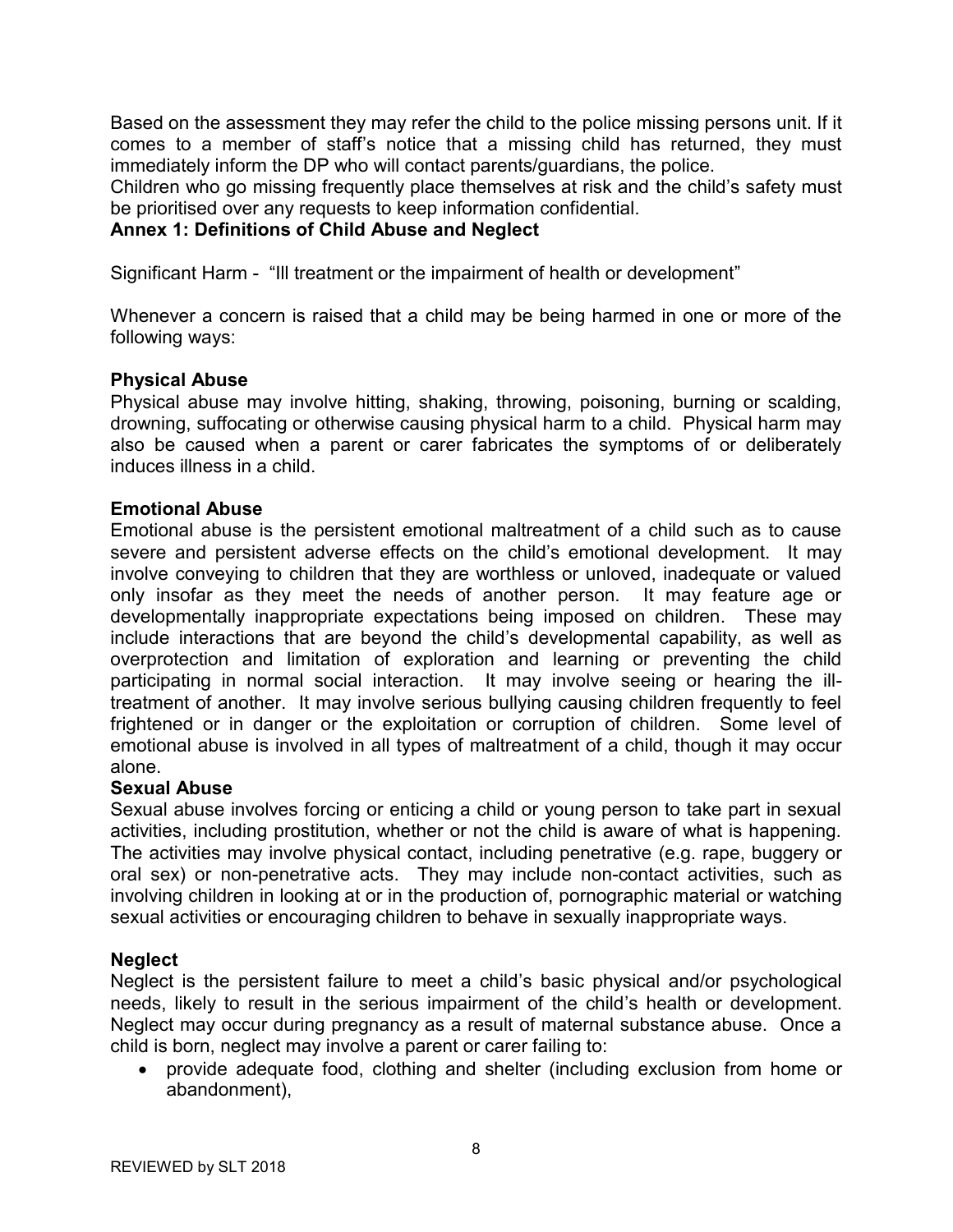Based on the assessment they may refer the child to the police missing persons unit. If it comes to a member of staff's notice that a missing child has returned, they must immediately inform the DP who will contact parents/guardians, the police.

Children who go missing frequently place themselves at risk and the child's safety must be prioritised over any requests to keep information confidential.

### **Annex 1: Definitions of Child Abuse and Neglect**

Significant Harm - "Ill treatment or the impairment of health or development"

Whenever a concern is raised that a child may be being harmed in one or more of the following ways:

#### **Physical Abuse**

Physical abuse may involve hitting, shaking, throwing, poisoning, burning or scalding, drowning, suffocating or otherwise causing physical harm to a child. Physical harm may also be caused when a parent or carer fabricates the symptoms of or deliberately induces illness in a child.

#### **Emotional Abuse**

Emotional abuse is the persistent emotional maltreatment of a child such as to cause severe and persistent adverse effects on the child's emotional development. It may involve conveying to children that they are worthless or unloved, inadequate or valued only insofar as they meet the needs of another person. It may feature age or developmentally inappropriate expectations being imposed on children. These may include interactions that are beyond the child's developmental capability, as well as overprotection and limitation of exploration and learning or preventing the child participating in normal social interaction. It may involve seeing or hearing the illtreatment of another. It may involve serious bullying causing children frequently to feel frightened or in danger or the exploitation or corruption of children. Some level of emotional abuse is involved in all types of maltreatment of a child, though it may occur alone.

#### **Sexual Abuse**

Sexual abuse involves forcing or enticing a child or young person to take part in sexual activities, including prostitution, whether or not the child is aware of what is happening. The activities may involve physical contact, including penetrative (e.g. rape, buggery or oral sex) or non-penetrative acts. They may include non-contact activities, such as involving children in looking at or in the production of, pornographic material or watching sexual activities or encouraging children to behave in sexually inappropriate ways.

#### **Neglect**

Neglect is the persistent failure to meet a child's basic physical and/or psychological needs, likely to result in the serious impairment of the child's health or development. Neglect may occur during pregnancy as a result of maternal substance abuse. Once a child is born, neglect may involve a parent or carer failing to:

 provide adequate food, clothing and shelter (including exclusion from home or abandonment),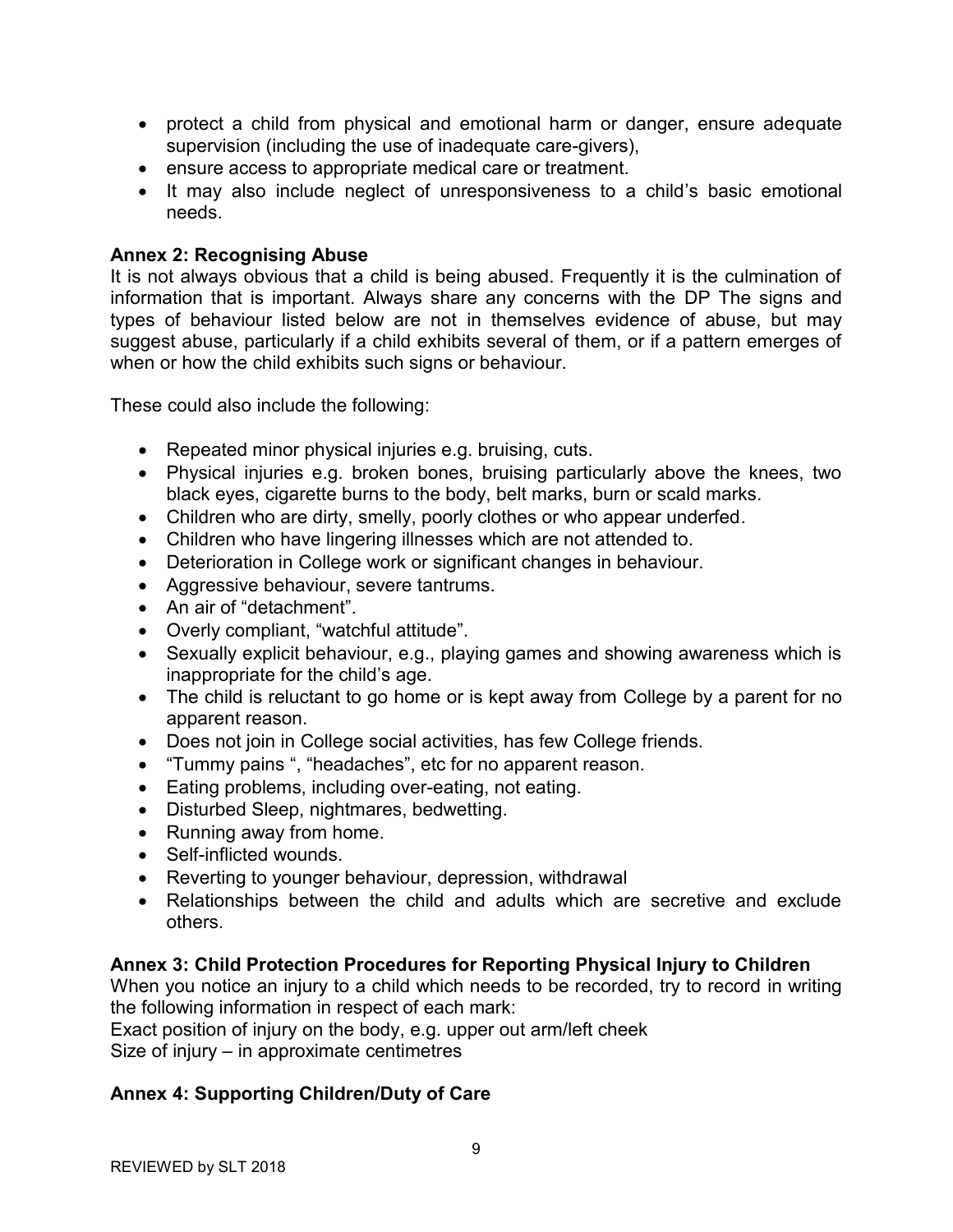- protect a child from physical and emotional harm or danger, ensure adequate supervision (including the use of inadequate care-givers),
- ensure access to appropriate medical care or treatment.
- It may also include neglect of unresponsiveness to a child's basic emotional needs.

# **Annex 2: Recognising Abuse**

It is not always obvious that a child is being abused. Frequently it is the culmination of information that is important. Always share any concerns with the DP The signs and types of behaviour listed below are not in themselves evidence of abuse, but may suggest abuse, particularly if a child exhibits several of them, or if a pattern emerges of when or how the child exhibits such signs or behaviour.

These could also include the following:

- Repeated minor physical injuries e.g. bruising, cuts.
- Physical injuries e.g. broken bones, bruising particularly above the knees, two black eyes, cigarette burns to the body, belt marks, burn or scald marks.
- Children who are dirty, smelly, poorly clothes or who appear underfed.
- Children who have lingering illnesses which are not attended to.
- Deterioration in College work or significant changes in behaviour.
- Aggressive behaviour, severe tantrums.
- An air of "detachment".
- Overly compliant, "watchful attitude".
- Sexually explicit behaviour, e.g., playing games and showing awareness which is inappropriate for the child's age.
- The child is reluctant to go home or is kept away from College by a parent for no apparent reason.
- Does not join in College social activities, has few College friends.
- "Tummy pains ", "headaches", etc for no apparent reason.
- Eating problems, including over-eating, not eating.
- Disturbed Sleep, nightmares, bedwetting.
- Running away from home.
- Self-inflicted wounds.
- Reverting to younger behaviour, depression, withdrawal
- Relationships between the child and adults which are secretive and exclude others.

# **Annex 3: Child Protection Procedures for Reporting Physical Injury to Children**

When you notice an injury to a child which needs to be recorded, try to record in writing the following information in respect of each mark:

Exact position of injury on the body, e.g. upper out arm/left cheek Size of injury – in approximate centimetres

# **Annex 4: Supporting Children/Duty of Care**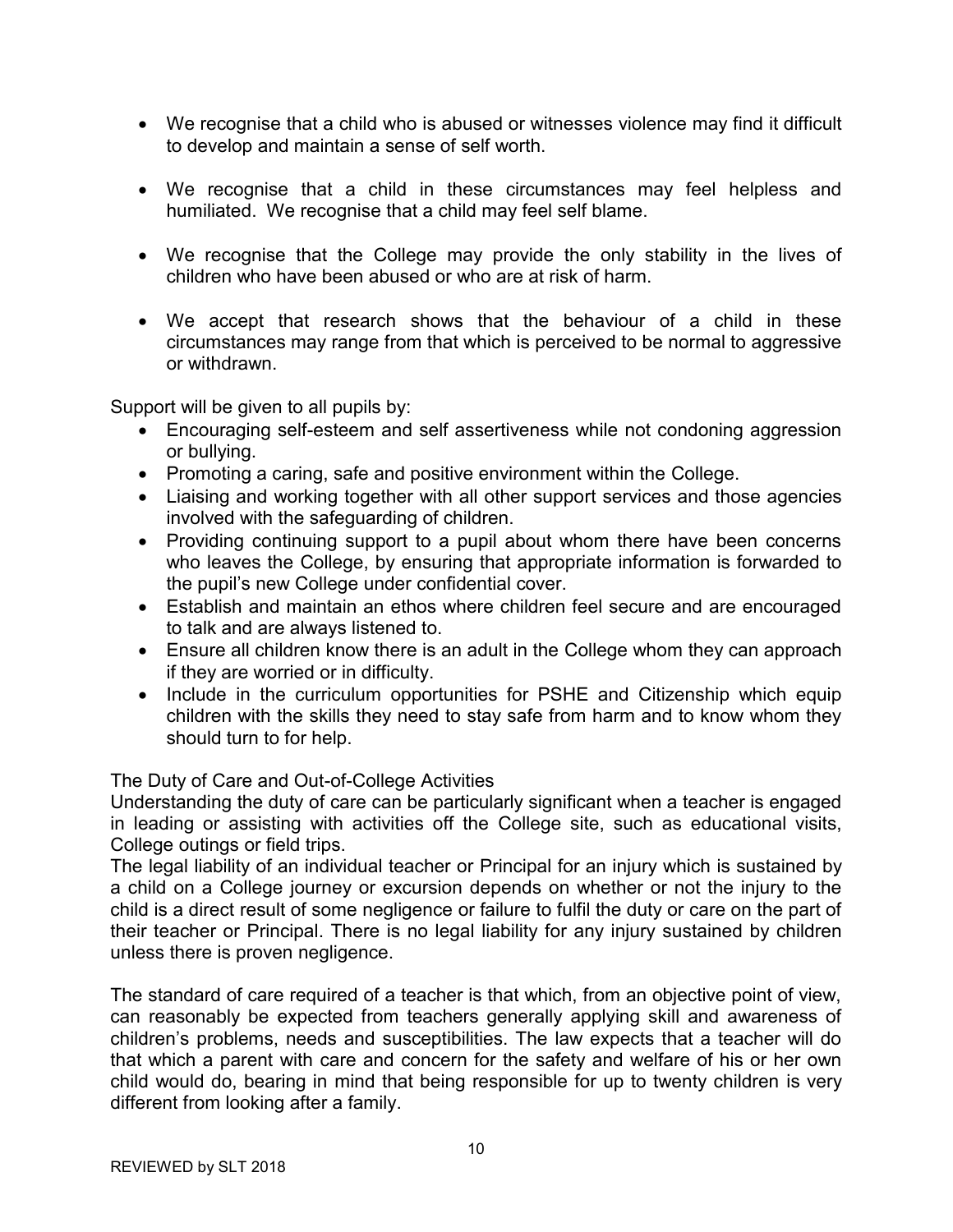- We recognise that a child who is abused or witnesses violence may find it difficult to develop and maintain a sense of self worth.
- We recognise that a child in these circumstances may feel helpless and humiliated. We recognise that a child may feel self blame.
- We recognise that the College may provide the only stability in the lives of children who have been abused or who are at risk of harm.
- We accept that research shows that the behaviour of a child in these circumstances may range from that which is perceived to be normal to aggressive or withdrawn.

Support will be given to all pupils by:

- Encouraging self-esteem and self assertiveness while not condoning aggression or bullying.
- Promoting a caring, safe and positive environment within the College.
- Liaising and working together with all other support services and those agencies involved with the safeguarding of children.
- Providing continuing support to a pupil about whom there have been concerns who leaves the College, by ensuring that appropriate information is forwarded to the pupil's new College under confidential cover.
- Establish and maintain an ethos where children feel secure and are encouraged to talk and are always listened to.
- Ensure all children know there is an adult in the College whom they can approach if they are worried or in difficulty.
- Include in the curriculum opportunities for PSHE and Citizenship which equip children with the skills they need to stay safe from harm and to know whom they should turn to for help.

# The Duty of Care and Out-of-College Activities

Understanding the duty of care can be particularly significant when a teacher is engaged in leading or assisting with activities off the College site, such as educational visits, College outings or field trips.

The legal liability of an individual teacher or Principal for an injury which is sustained by a child on a College journey or excursion depends on whether or not the injury to the child is a direct result of some negligence or failure to fulfil the duty or care on the part of their teacher or Principal. There is no legal liability for any injury sustained by children unless there is proven negligence.

The standard of care required of a teacher is that which, from an objective point of view, can reasonably be expected from teachers generally applying skill and awareness of children's problems, needs and susceptibilities. The law expects that a teacher will do that which a parent with care and concern for the safety and welfare of his or her own child would do, bearing in mind that being responsible for up to twenty children is very different from looking after a family.